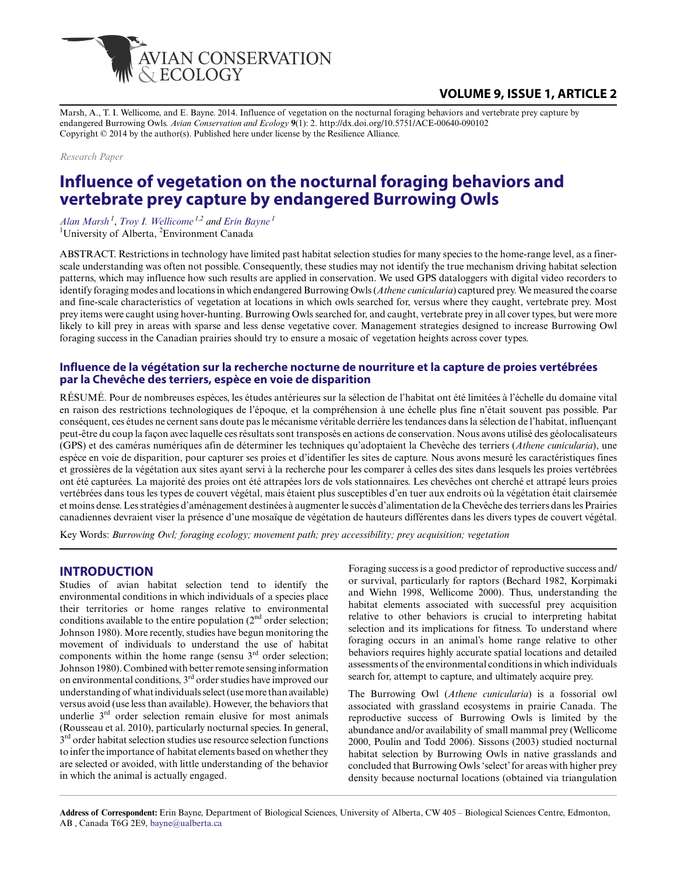

# **VOLUME 9, ISSUE 1, ARTICLE 2**

Marsh, A., T. I. Wellicome, and E. Bayne. 2014. Influence of vegetation on the nocturnal foraging behaviors and vertebrate prey capture by endangered Burrowing Owls. *Avian Conservation and Ecology* **9**(1): 2. http://dx.doi.org/10.5751/ACE-00640-090102 Copyright © 2014 by the author(s). Published here under license by the Resilience Alliance.

*Research Paper*

# **Influence of vegetation on the nocturnal foraging behaviors and vertebrate prey capture by endangered Burrowing Owls**

*[Alan Marsh](mailto:alanjmarsh@gmail.com)<sup>1</sup>* , *[Troy I. Wellicome](mailto:troy.wellicome@ec.gc.ca) 1,2 and [Erin Bayne](mailto:bayne@ualberta.ca)<sup>1</sup>*

<sup>1</sup>University of Alberta, <sup>2</sup>Environment Canada

ABSTRACT. Restrictions in technology have limited past habitat selection studies for many species to the home-range level, as a finerscale understanding was often not possible. Consequently, these studies may not identify the true mechanism driving habitat selection patterns, which may influence how such results are applied in conservation. We used GPS dataloggers with digital video recorders to identify foraging modes and locations in which endangered Burrowing Owls (*Athene cunicularia*) captured prey. We measured the coarse and fine-scale characteristics of vegetation at locations in which owls searched for, versus where they caught, vertebrate prey. Most prey items were caught using hover-hunting. Burrowing Owls searched for, and caught, vertebrate prey in all cover types, but were more likely to kill prey in areas with sparse and less dense vegetative cover. Management strategies designed to increase Burrowing Owl foraging success in the Canadian prairies should try to ensure a mosaic of vegetation heights across cover types.

### **Influence de la végétation sur la recherche nocturne de nourriture et la capture de proies vertébrées par la Chevêche des terriers, espèce en voie de disparition**

RÉSUMÉ. Pour de nombreuses espèces, les études antérieures sur la sélection de l'habitat ont été limitées à l'échelle du domaine vital en raison des restrictions technologiques de l'époque, et la compréhension à une échelle plus fine n'était souvent pas possible. Par conséquent, ces études ne cernent sans doute pas le mécanisme véritable derrière les tendances dans la sélection de l'habitat, influençant peut-être du coup la façon avec laquelle ces résultats sont transposés en actions de conservation. Nous avons utilisé des géolocalisateurs (GPS) et des caméras numériques afin de déterminer les techniques qu'adoptaient la Chevêche des terriers (*Athene cunicularia*), une espèce en voie de disparition, pour capturer ses proies et d'identifier les sites de capture. Nous avons mesuré les caractéristiques fines et grossières de la végétation aux sites ayant servi à la recherche pour les comparer à celles des sites dans lesquels les proies vertébrées ont été capturées. La majorité des proies ont été attrapées lors de vols stationnaires. Les chevêches ont cherché et attrapé leurs proies vertébrées dans tous les types de couvert végétal, mais étaient plus susceptibles d'en tuer aux endroits où la végétation était clairsemée et moins dense. Les stratégies d'aménagement destinées à augmenter le succès d'alimentation de la Chevêche des terriers dans les Prairies canadiennes devraient viser la présence d'une mosaïque de végétation de hauteurs différentes dans les divers types de couvert végétal.

Key Words: *Burrowing Owl; foraging ecology; movement path; prey accessibility; prey acquisition; vegetation*

### **INTRODUCTION**

Studies of avian habitat selection tend to identify the environmental conditions in which individuals of a species place their territories or home ranges relative to environmental conditions available to the entire population  $(2<sup>nd</sup> order selection;$ Johnson 1980). More recently, studies have begun monitoring the movement of individuals to understand the use of habitat components within the home range (sensu  $3<sup>rd</sup>$  order selection; Johnson 1980). Combined with better remote sensing information on environmental conditions, 3rd order studies have improved our understanding of what individuals select (use more than available) versus avoid (use less than available). However, the behaviors that underlie 3<sup>rd</sup> order selection remain elusive for most animals (Rousseau et al. 2010), particularly nocturnal species. In general, 3<sup>rd</sup> order habitat selection studies use resource selection functions to infer the importance of habitat elements based on whether they are selected or avoided, with little understanding of the behavior in which the animal is actually engaged.

Foraging success is a good predictor of reproductive success and/ or survival, particularly for raptors (Bechard 1982, Korpimaki and Wiehn 1998, Wellicome 2000). Thus, understanding the habitat elements associated with successful prey acquisition relative to other behaviors is crucial to interpreting habitat selection and its implications for fitness. To understand where foraging occurs in an animal's home range relative to other behaviors requires highly accurate spatial locations and detailed assessments of the environmental conditions in which individuals search for, attempt to capture, and ultimately acquire prey.

The Burrowing Owl (*Athene cunicularia*) is a fossorial owl associated with grassland ecosystems in prairie Canada. The reproductive success of Burrowing Owls is limited by the abundance and/or availability of small mammal prey (Wellicome 2000, Poulin and Todd 2006). Sissons (2003) studied nocturnal habitat selection by Burrowing Owls in native grasslands and concluded that Burrowing Owls 'select' for areas with higher prey density because nocturnal locations (obtained via triangulation

**Address of Correspondent:** Erin Bayne, Department of Biological Sciences, University of Alberta, CW 405 – Biological Sciences Centre, Edmonton, AB , Canada T6G 2E9, [bayne@ualberta.ca](mailto:bayne@ualberta.ca)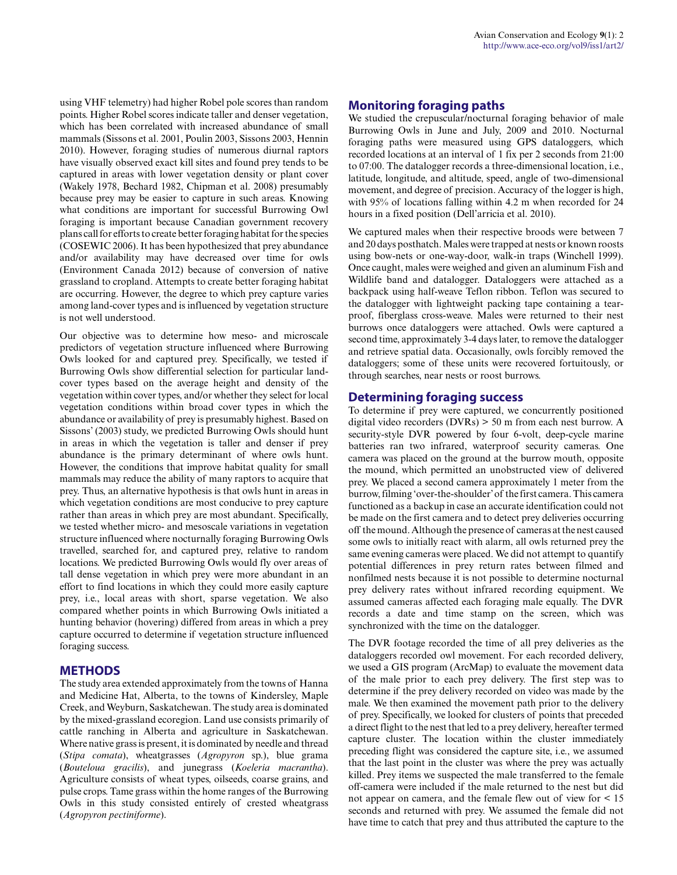using VHF telemetry) had higher Robel pole scores than random points. Higher Robel scores indicate taller and denser vegetation, which has been correlated with increased abundance of small mammals (Sissons et al. 2001, Poulin 2003, Sissons 2003, Hennin 2010). However, foraging studies of numerous diurnal raptors have visually observed exact kill sites and found prey tends to be captured in areas with lower vegetation density or plant cover (Wakely 1978, Bechard 1982, Chipman et al. 2008) presumably because prey may be easier to capture in such areas. Knowing what conditions are important for successful Burrowing Owl foraging is important because Canadian government recovery plans call for efforts to create better foraging habitat for the species (COSEWIC 2006). It has been hypothesized that prey abundance and/or availability may have decreased over time for owls (Environment Canada 2012) because of conversion of native grassland to cropland. Attempts to create better foraging habitat are occurring. However, the degree to which prey capture varies among land-cover types and is influenced by vegetation structure is not well understood.

Our objective was to determine how meso- and microscale predictors of vegetation structure influenced where Burrowing Owls looked for and captured prey. Specifically, we tested if Burrowing Owls show differential selection for particular landcover types based on the average height and density of the vegetation within cover types, and/or whether they select for local vegetation conditions within broad cover types in which the abundance or availability of prey is presumably highest. Based on Sissons' (2003) study, we predicted Burrowing Owls should hunt in areas in which the vegetation is taller and denser if prey abundance is the primary determinant of where owls hunt. However, the conditions that improve habitat quality for small mammals may reduce the ability of many raptors to acquire that prey. Thus, an alternative hypothesis is that owls hunt in areas in which vegetation conditions are most conducive to prey capture rather than areas in which prey are most abundant. Specifically, we tested whether micro- and mesoscale variations in vegetation structure influenced where nocturnally foraging Burrowing Owls travelled, searched for, and captured prey, relative to random locations. We predicted Burrowing Owls would fly over areas of tall dense vegetation in which prey were more abundant in an effort to find locations in which they could more easily capture prey, i.e., local areas with short, sparse vegetation. We also compared whether points in which Burrowing Owls initiated a hunting behavior (hovering) differed from areas in which a prey capture occurred to determine if vegetation structure influenced foraging success.

### **METHODS**

The study area extended approximately from the towns of Hanna and Medicine Hat, Alberta, to the towns of Kindersley, Maple Creek, and Weyburn, Saskatchewan. The study area is dominated by the mixed-grassland ecoregion. Land use consists primarily of cattle ranching in Alberta and agriculture in Saskatchewan. Where native grass is present, it is dominated by needle and thread (*Stipa comata*), wheatgrasses (*Agropyron* sp.), blue grama (*Bouteloua gracilis*), and junegrass (*Koeleria macrantha*). Agriculture consists of wheat types, oilseeds, coarse grains, and pulse crops. Tame grass within the home ranges of the Burrowing Owls in this study consisted entirely of crested wheatgrass (*Agropyron pectiniforme*).

## **Monitoring foraging paths**

We studied the crepuscular/nocturnal foraging behavior of male Burrowing Owls in June and July, 2009 and 2010. Nocturnal foraging paths were measured using GPS dataloggers, which recorded locations at an interval of 1 fix per 2 seconds from 21:00 to 07:00. The datalogger records a three-dimensional location, i.e., latitude, longitude, and altitude, speed, angle of two-dimensional movement, and degree of precision. Accuracy of the logger is high, with 95% of locations falling within 4.2 m when recorded for 24 hours in a fixed position (Dell'arricia et al. 2010).

We captured males when their respective broods were between 7 and 20 days posthatch. Males were trapped at nests or known roosts using bow-nets or one-way-door, walk-in traps (Winchell 1999). Once caught, males were weighed and given an aluminum Fish and Wildlife band and datalogger. Dataloggers were attached as a backpack using half-weave Teflon ribbon. Teflon was secured to the datalogger with lightweight packing tape containing a tearproof, fiberglass cross-weave. Males were returned to their nest burrows once dataloggers were attached. Owls were captured a second time, approximately 3-4 days later, to remove the datalogger and retrieve spatial data. Occasionally, owls forcibly removed the dataloggers; some of these units were recovered fortuitously, or through searches, near nests or roost burrows.

### **Determining foraging success**

To determine if prey were captured, we concurrently positioned digital video recorders (DVRs) > 50 m from each nest burrow. A security-style DVR powered by four 6-volt, deep-cycle marine batteries ran two infrared, waterproof security cameras. One camera was placed on the ground at the burrow mouth, opposite the mound, which permitted an unobstructed view of delivered prey. We placed a second camera approximately 1 meter from the burrow, filming 'over-the-shoulder' of the first camera. This camera functioned as a backup in case an accurate identification could not be made on the first camera and to detect prey deliveries occurring off the mound. Although the presence of cameras at the nest caused some owls to initially react with alarm, all owls returned prey the same evening cameras were placed. We did not attempt to quantify potential differences in prey return rates between filmed and nonfilmed nests because it is not possible to determine nocturnal prey delivery rates without infrared recording equipment. We assumed cameras affected each foraging male equally. The DVR records a date and time stamp on the screen, which was synchronized with the time on the datalogger.

The DVR footage recorded the time of all prey deliveries as the dataloggers recorded owl movement. For each recorded delivery, we used a GIS program (ArcMap) to evaluate the movement data of the male prior to each prey delivery. The first step was to determine if the prey delivery recorded on video was made by the male. We then examined the movement path prior to the delivery of prey. Specifically, we looked for clusters of points that preceded a direct flight to the nest that led to a prey delivery, hereafter termed capture cluster. The location within the cluster immediately preceding flight was considered the capture site, i.e., we assumed that the last point in the cluster was where the prey was actually killed. Prey items we suspected the male transferred to the female off-camera were included if the male returned to the nest but did not appear on camera, and the female flew out of view for < 15 seconds and returned with prey. We assumed the female did not have time to catch that prey and thus attributed the capture to the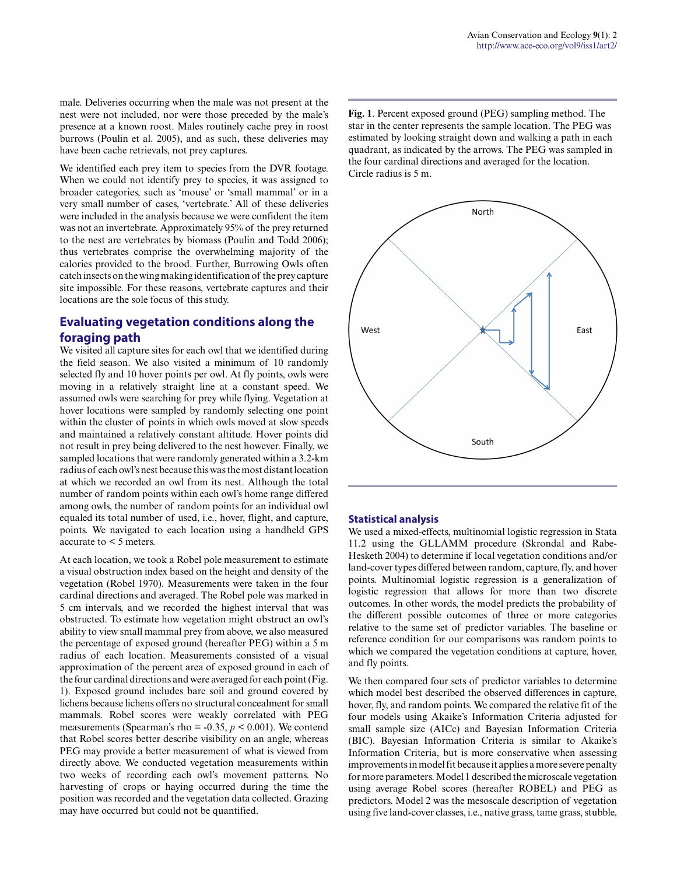male. Deliveries occurring when the male was not present at the nest were not included, nor were those preceded by the male's presence at a known roost. Males routinely cache prey in roost burrows (Poulin et al. 2005), and as such, these deliveries may have been cache retrievals, not prey captures.

We identified each prey item to species from the DVR footage. When we could not identify prey to species, it was assigned to broader categories, such as 'mouse' or 'small mammal' or in a very small number of cases, 'vertebrate.' All of these deliveries were included in the analysis because we were confident the item was not an invertebrate. Approximately 95% of the prey returned to the nest are vertebrates by biomass (Poulin and Todd 2006); thus vertebrates comprise the overwhelming majority of the calories provided to the brood. Further, Burrowing Owls often catch insects on the wing making identification of the prey capture site impossible. For these reasons, vertebrate captures and their locations are the sole focus of this study.

# **Evaluating vegetation conditions along the foraging path**

We visited all capture sites for each owl that we identified during the field season. We also visited a minimum of 10 randomly selected fly and 10 hover points per owl. At fly points, owls were moving in a relatively straight line at a constant speed. We assumed owls were searching for prey while flying. Vegetation at hover locations were sampled by randomly selecting one point within the cluster of points in which owls moved at slow speeds and maintained a relatively constant altitude. Hover points did not result in prey being delivered to the nest however. Finally, we sampled locations that were randomly generated within a 3.2-km radius of each owl's nest because this was the most distant location at which we recorded an owl from its nest. Although the total number of random points within each owl's home range differed among owls, the number of random points for an individual owl equaled its total number of used, i.e., hover, flight, and capture, points. We navigated to each location using a handheld GPS accurate to < 5 meters.

At each location, we took a Robel pole measurement to estimate a visual obstruction index based on the height and density of the vegetation (Robel 1970). Measurements were taken in the four cardinal directions and averaged. The Robel pole was marked in 5 cm intervals, and we recorded the highest interval that was obstructed. To estimate how vegetation might obstruct an owl's ability to view small mammal prey from above, we also measured the percentage of exposed ground (hereafter PEG) within a 5 m radius of each location. Measurements consisted of a visual approximation of the percent area of exposed ground in each of the four cardinal directions and were averaged for each point (Fig. 1). Exposed ground includes bare soil and ground covered by lichens because lichens offers no structural concealment for small mammals. Robel scores were weakly correlated with PEG measurements (Spearman's rho = -0.35, *p* < 0.001). We contend that Robel scores better describe visibility on an angle, whereas PEG may provide a better measurement of what is viewed from directly above. We conducted vegetation measurements within two weeks of recording each owl's movement patterns. No harvesting of crops or haying occurred during the time the position was recorded and the vegetation data collected. Grazing may have occurred but could not be quantified.

**Fig. 1**. Percent exposed ground (PEG) sampling method. The star in the center represents the sample location. The PEG was estimated by looking straight down and walking a path in each quadrant, as indicated by the arrows. The PEG was sampled in the four cardinal directions and averaged for the location. Circle radius is 5 m.



#### **Statistical analysis**

We used a mixed-effects, multinomial logistic regression in Stata 11.2 using the GLLAMM procedure (Skrondal and Rabe-Hesketh 2004) to determine if local vegetation conditions and/or land-cover types differed between random, capture, fly, and hover points. Multinomial logistic regression is a generalization of logistic regression that allows for more than two discrete outcomes. In other words, the model predicts the probability of the different possible outcomes of three or more categories relative to the same set of predictor variables. The baseline or reference condition for our comparisons was random points to which we compared the vegetation conditions at capture, hover, and fly points.

We then compared four sets of predictor variables to determine which model best described the observed differences in capture, hover, fly, and random points. We compared the relative fit of the four models using Akaike's Information Criteria adjusted for small sample size (AICc) and Bayesian Information Criteria (BIC). Bayesian Information Criteria is similar to Akaike's Information Criteria, but is more conservative when assessing improvements in model fit because it applies a more severe penalty for more parameters. Model 1 described the microscale vegetation using average Robel scores (hereafter ROBEL) and PEG as predictors. Model 2 was the mesoscale description of vegetation using five land-cover classes, i.e., native grass, tame grass, stubble,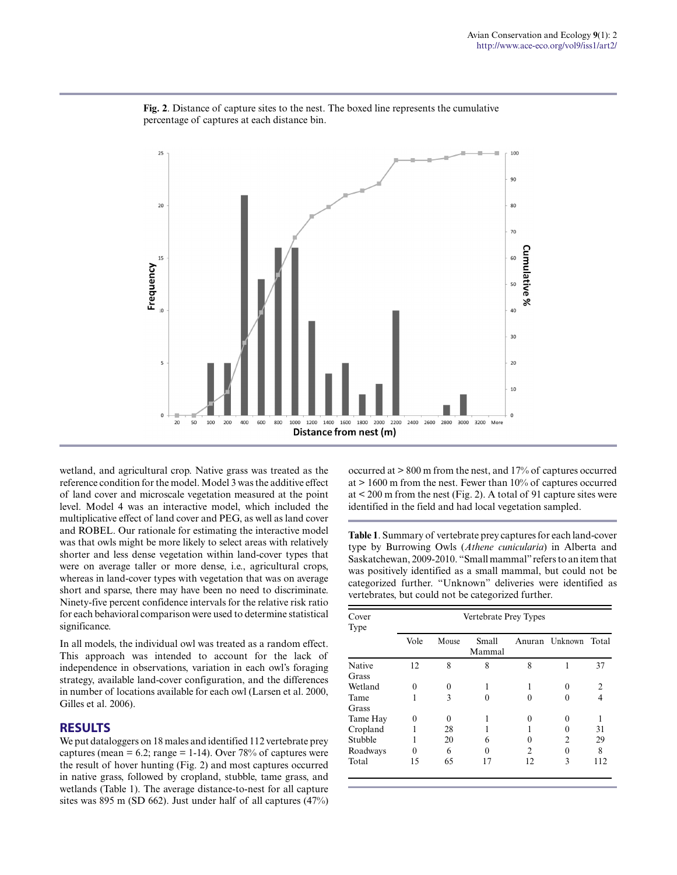

**Fig. 2**. Distance of capture sites to the nest. The boxed line represents the cumulative percentage of captures at each distance bin.

wetland, and agricultural crop. Native grass was treated as the reference condition for the model. Model 3 was the additive effect of land cover and microscale vegetation measured at the point level. Model 4 was an interactive model, which included the multiplicative effect of land cover and PEG, as well as land cover and ROBEL. Our rationale for estimating the interactive model was that owls might be more likely to select areas with relatively shorter and less dense vegetation within land-cover types that were on average taller or more dense, i.e., agricultural crops, whereas in land-cover types with vegetation that was on average short and sparse, there may have been no need to discriminate. Ninety-five percent confidence intervals for the relative risk ratio for each behavioral comparison were used to determine statistical significance.

In all models, the individual owl was treated as a random effect. This approach was intended to account for the lack of independence in observations, variation in each owl's foraging strategy, available land-cover configuration, and the differences in number of locations available for each owl (Larsen et al. 2000, Gilles et al. 2006).

### **RESULTS**

We put dataloggers on 18 males and identified 112 vertebrate prey captures (mean =  $6.2$ ; range = 1-14). Over 78% of captures were the result of hover hunting (Fig. 2) and most captures occurred in native grass, followed by cropland, stubble, tame grass, and wetlands (Table 1). The average distance-to-nest for all capture sites was 895 m (SD 662). Just under half of all captures (47%) occurred at > 800 m from the nest, and 17% of captures occurred at  $> 1600$  m from the nest. Fewer than  $10\%$  of captures occurred at < 200 m from the nest (Fig. 2). A total of 91 capture sites were identified in the field and had local vegetation sampled.

**Table 1**. Summary of vertebrate prey captures for each land-cover type by Burrowing Owls (*Athene cunicularia*) in Alberta and Saskatchewan, 2009-2010. "Small mammal" refers to an item that was positively identified as a small mammal, but could not be categorized further. "Unknown" deliveries were identified as vertebrates, but could not be categorized further.

| Cover<br>Type | Vertebrate Prey Types |          |                 |               |                |                |
|---------------|-----------------------|----------|-----------------|---------------|----------------|----------------|
|               | Vole                  | Mouse    | Small<br>Mammal | Anuran        | Unknown        | Total          |
| Native        | 12                    | 8        | 8               | 8             |                | 37             |
| Grass         |                       |          |                 |               |                |                |
| Wetland       | $\Omega$              | $\Omega$ |                 |               | 0              | $\mathfrak{D}$ |
| Tame<br>Grass |                       | 3        |                 |               | 0              | 4              |
| Tame Hay      | 0                     | 0        |                 |               |                |                |
| Cropland      |                       | 28       |                 |               |                | 31             |
| Stubble       |                       | 20       | 6               |               | $\mathfrak{D}$ | 29             |
| Roadways      | 0                     | 6        |                 | $\mathcal{L}$ | 0              | 8              |
| Total         | 15                    | 65       |                 | 12            | 3              | 112            |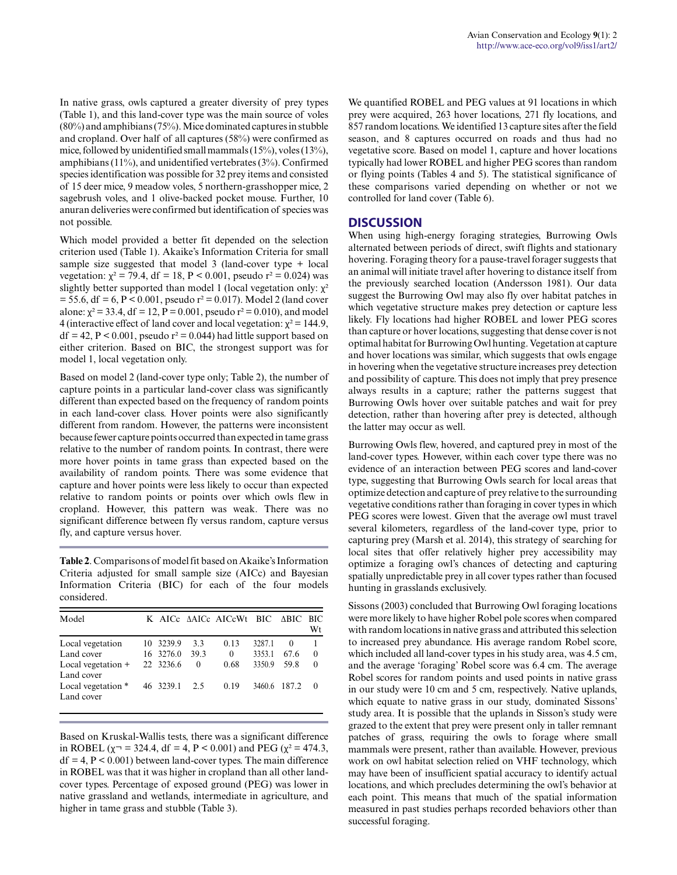In native grass, owls captured a greater diversity of prey types (Table 1), and this land-cover type was the main source of voles (80%) and amphibians (75%). Mice dominated captures in stubble and cropland. Over half of all captures (58%) were confirmed as mice, followed by unidentified small mammals (15%), voles (13%), amphibians (11%), and unidentified vertebrates (3%). Confirmed species identification was possible for 32 prey items and consisted of 15 deer mice, 9 meadow voles, 5 northern-grasshopper mice, 2 sagebrush voles, and 1 olive-backed pocket mouse. Further, 10 anuran deliveries were confirmed but identification of species was not possible.

Which model provided a better fit depended on the selection criterion used (Table 1). Akaike's Information Criteria for small sample size suggested that model 3 (land-cover type + local vegetation:  $\chi^2 = 79.4$ , df = 18, P < 0.001, pseudo r<sup>2</sup> = 0.024) was slightly better supported than model 1 (local vegetation only:  $\chi^2$  $= 55.6$ , df = 6, P < 0.001, pseudo r<sup>2</sup> = 0.017). Model 2 (land cover alone:  $\chi^2$  = 33.4, df = 12, P = 0.001, pseudo r<sup>2</sup> = 0.010), and model 4 (interactive effect of land cover and local vegetation:  $x^2 = 144.9$ ,  $df = 42$ ,  $P < 0.001$ , pseudo  $r^2 = 0.044$ ) had little support based on either criterion. Based on BIC, the strongest support was for model 1, local vegetation only.

Based on model 2 (land-cover type only; Table 2), the number of capture points in a particular land-cover class was significantly different than expected based on the frequency of random points in each land-cover class. Hover points were also significantly different from random. However, the patterns were inconsistent because fewer capture points occurred than expected in tame grass relative to the number of random points. In contrast, there were more hover points in tame grass than expected based on the availability of random points. There was some evidence that capture and hover points were less likely to occur than expected relative to random points or points over which owls flew in cropland. However, this pattern was weak. There was no significant difference between fly versus random, capture versus fly, and capture versus hover.

**Table 2**. Comparisons of model fit based on Akaike's Information Criteria adjusted for small sample size (AICc) and Bayesian Information Criteria (BIC) for each of the four models considered.

| Model                            |           |          | K AICe AAICe AICeWt BIC ABIC BIC |        |              |            |
|----------------------------------|-----------|----------|----------------------------------|--------|--------------|------------|
|                                  |           |          |                                  |        |              | Wt         |
| Local vegetation                 | 10 3239.9 | 3.3      | 0.13                             | 3287.1 | $\theta$     |            |
| Land cover                       | 16 3276.0 | 39.3     | $\theta$                         | 3353.1 | 67.6         | $\Omega$   |
| Local vegetation +<br>Land cover | 22 3236.6 | $\Omega$ | 0.68                             | 3350.9 | 59.8         | $\Omega$   |
| Local vegetation *<br>Land cover | 46 3239.1 | 2.5      | 0.19                             |        | 3460.6 187.2 | $\bigcirc$ |

Based on Kruskal-Wallis tests, there was a significant difference in ROBEL ( $\chi$ <sup>-</sup> = 324.4, df = 4, P < 0.001) and PEG ( $\chi$ <sup>2</sup> = 474.3,  $df = 4$ ,  $P < 0.001$ ) between land-cover types. The main difference in ROBEL was that it was higher in cropland than all other landcover types. Percentage of exposed ground (PEG) was lower in native grassland and wetlands, intermediate in agriculture, and higher in tame grass and stubble (Table 3).

We quantified ROBEL and PEG values at 91 locations in which prey were acquired, 263 hover locations, 271 fly locations, and 857 random locations. We identified 13 capture sites after the field season, and 8 captures occurred on roads and thus had no vegetative score. Based on model 1, capture and hover locations typically had lower ROBEL and higher PEG scores than random or flying points (Tables 4 and 5). The statistical significance of these comparisons varied depending on whether or not we controlled for land cover (Table 6).

### **DISCUSSION**

When using high-energy foraging strategies, Burrowing Owls alternated between periods of direct, swift flights and stationary hovering. Foraging theory for a pause-travel forager suggests that an animal will initiate travel after hovering to distance itself from the previously searched location (Andersson 1981). Our data suggest the Burrowing Owl may also fly over habitat patches in which vegetative structure makes prey detection or capture less likely. Fly locations had higher ROBEL and lower PEG scores than capture or hover locations, suggesting that dense cover is not optimal habitat for Burrowing Owl hunting. Vegetation at capture and hover locations was similar, which suggests that owls engage in hovering when the vegetative structure increases prey detection and possibility of capture. This does not imply that prey presence always results in a capture; rather the patterns suggest that Burrowing Owls hover over suitable patches and wait for prey detection, rather than hovering after prey is detected, although the latter may occur as well.

Burrowing Owls flew, hovered, and captured prey in most of the land-cover types. However, within each cover type there was no evidence of an interaction between PEG scores and land-cover type, suggesting that Burrowing Owls search for local areas that optimize detection and capture of prey relative to the surrounding vegetative conditions rather than foraging in cover types in which PEG scores were lowest. Given that the average owl must travel several kilometers, regardless of the land-cover type, prior to capturing prey (Marsh et al. 2014), this strategy of searching for local sites that offer relatively higher prey accessibility may optimize a foraging owl's chances of detecting and capturing spatially unpredictable prey in all cover types rather than focused hunting in grasslands exclusively.

Sissons (2003) concluded that Burrowing Owl foraging locations were more likely to have higher Robel pole scores when compared with random locations in native grass and attributed this selection to increased prey abundance. His average random Robel score, which included all land-cover types in his study area, was 4.5 cm, and the average 'foraging' Robel score was 6.4 cm. The average Robel scores for random points and used points in native grass in our study were 10 cm and 5 cm, respectively. Native uplands, which equate to native grass in our study, dominated Sissons' study area. It is possible that the uplands in Sisson's study were grazed to the extent that prey were present only in taller remnant patches of grass, requiring the owls to forage where small mammals were present, rather than available. However, previous work on owl habitat selection relied on VHF technology, which may have been of insufficient spatial accuracy to identify actual locations, and which precludes determining the owl's behavior at each point. This means that much of the spatial information measured in past studies perhaps recorded behaviors other than successful foraging.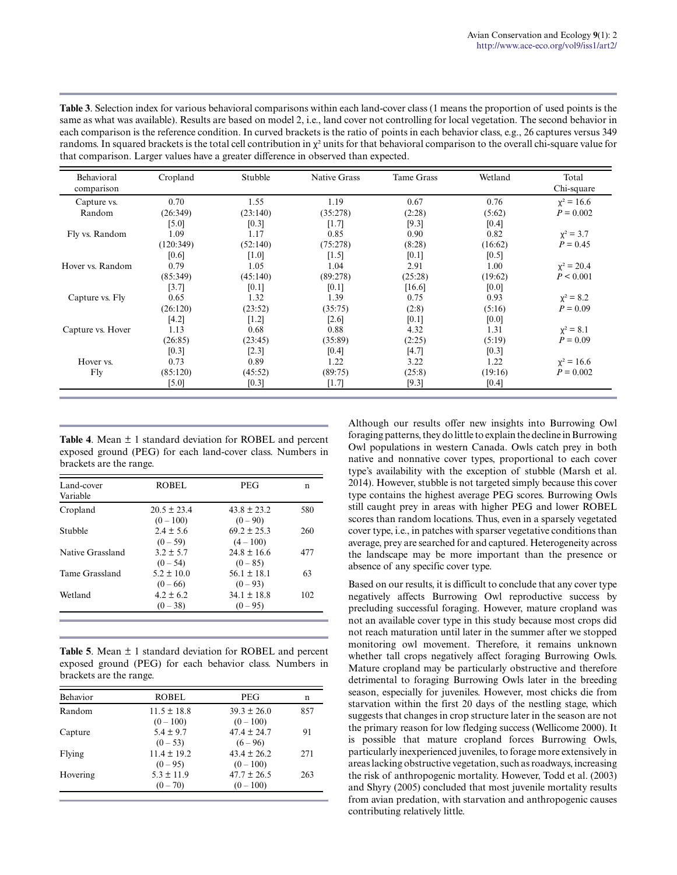| Table 3. Selection index for various behavioral comparisons within each land-cover class (1 means the proportion of used points is the           |
|--------------------------------------------------------------------------------------------------------------------------------------------------|
| same as what was available). Results are based on model 2, i.e., land cover not controlling for local vegetation. The second behavior in         |
| each comparison is the reference condition. In curved brackets is the ratio of points in each behavior class, e.g., 26 captures versus 349       |
| randoms. In squared brackets is the total cell contribution in $\chi^2$ units for that behavioral comparison to the overall chi-square value for |
| that comparison. Larger values have a greater difference in observed than expected.                                                              |

| Behavioral<br>comparison | Cropland  | Stubble  | <b>Native Grass</b> | Tame Grass | Wetland | Total<br>Chi-square |
|--------------------------|-----------|----------|---------------------|------------|---------|---------------------|
| Capture vs.              | 0.70      | 1.55     | 1.19                | 0.67       | 0.76    | $x^2 = 16.6$        |
| Random                   | (26:349)  | (23:140) | (35:278)            | (2:28)     | (5:62)  | $P = 0.002$         |
|                          | [5.0]     | [0.3]    | [1.7]               | [9.3]      | [0.4]   |                     |
| Fly vs. Random           | 1.09      | 1.17     | 0.85                | 0.90       | 0.82    | $x^2 = 3.7$         |
|                          | (120:349) | (52:140) | (75:278)            | (8:28)     | (16:62) | $P = 0.45$          |
|                          | [0.6]     | [1.0]    | [1.5]               | [0.1]      | [0.5]   |                     |
| Hover vs. Random         | 0.79      | 1.05     | 1.04                | 2.91       | 1.00    | $x^2 = 20.4$        |
|                          | (85:349)  | (45:140) | (89:278)            | (25:28)    | (19:62) | P < 0.001           |
|                          | [3.7]     | [0.1]    | [0.1]               | [16.6]     | [0.0]   |                     |
| Capture vs. Fly          | 0.65      | 1.32     | 1.39                | 0.75       | 0.93    | $x^2 = 8.2$         |
|                          | (26:120)  | (23:52)  | (35:75)             | (2:8)      | (5:16)  | $P = 0.09$          |
|                          | $[4.2]$   | [1.2]    | [2.6]               | [0.1]      | [0.0]   |                     |
| Capture vs. Hover        | 1.13      | 0.68     | 0.88                | 4.32       | 1.31    | $x^2 = 8.1$         |
|                          | (26:85)   | (23:45)  | (35:89)             | (2:25)     | (5:19)  | $P = 0.09$          |
|                          | [0.3]     | [2.3]    | [0.4]               | [4.7]      | [0.3]   |                     |
| Hover vs.                | 0.73      | 0.89     | 1.22                | 3.22       | 1.22    | $x^2 = 16.6$        |
| Fly                      | (85:120)  | (45:52)  | (89:75)             | (25:8)     | (19:16) | $P = 0.002$         |
|                          | $[5.0]$   | $[0.3]$  | [1.7]               | [9.3]      | [0.4]   |                     |

**Table 4**. Mean ± 1 standard deviation for ROBEL and percent exposed ground (PEG) for each land-cover class. Numbers in brackets are the range.

| Land-cover<br>Variable | ROBEL                          | <b>PEG</b>                     | n   |
|------------------------|--------------------------------|--------------------------------|-----|
| Cropland               | $20.5 \pm 23.4$<br>$(0 - 100)$ | $43.8 \pm 23.2$<br>$(0 - 90)$  | 580 |
| Stubble                | $2.4 \pm 5.6$<br>$(0 - 59)$    | $69.2 \pm 25.3$<br>$(4 - 100)$ | 260 |
| Native Grassland       | $3.2 \pm 5.7$<br>$(0 - 54)$    | $24.8 \pm 16.6$<br>$(0 - 85)$  | 477 |
| Tame Grassland         | $5.2 \pm 10.0$<br>$(0 - 66)$   | $56.1 \pm 18.1$<br>$(0-93)$    | 63  |
| Wetland                | $4.2 \pm 6.2$<br>$(0 - 38)$    | $34.1 \pm 18.8$<br>$(0 - 95)$  | 102 |

**Table 5**. Mean ± 1 standard deviation for ROBEL and percent exposed ground (PEG) for each behavior class. Numbers in brackets are the range.

| <b>Behavior</b> | <b>ROBEL</b>                  | <b>PEG</b>                     | n   |
|-----------------|-------------------------------|--------------------------------|-----|
| Random          | $11.5 \pm 18.8$<br>$(0-100)$  | $39.3 \pm 26.0$<br>$(0-100)$   | 857 |
| Capture         | $5.4 \pm 9.7$<br>$(0 - 53)$   | $47.4 \pm 24.7$<br>$(6 - 96)$  | 91  |
| Flying          | $11.4 \pm 19.2$<br>$(0 - 95)$ | $43.4 \pm 26.2$<br>$(0-100)$   | 271 |
| Hovering        | $5.3 \pm 11.9$<br>$(0 - 70)$  | $47.7 \pm 26.5$<br>$(0 - 100)$ | 263 |

Although our results offer new insights into Burrowing Owl foraging patterns, they do little to explain the decline in Burrowing Owl populations in western Canada. Owls catch prey in both native and nonnative cover types, proportional to each cover type's availability with the exception of stubble (Marsh et al. 2014). However, stubble is not targeted simply because this cover type contains the highest average PEG scores. Burrowing Owls still caught prey in areas with higher PEG and lower ROBEL scores than random locations. Thus, even in a sparsely vegetated cover type, i.e., in patches with sparser vegetative conditions than average, prey are searched for and captured. Heterogeneity across the landscape may be more important than the presence or absence of any specific cover type.

Based on our results, it is difficult to conclude that any cover type negatively affects Burrowing Owl reproductive success by precluding successful foraging. However, mature cropland was not an available cover type in this study because most crops did not reach maturation until later in the summer after we stopped monitoring owl movement. Therefore, it remains unknown whether tall crops negatively affect foraging Burrowing Owls. Mature cropland may be particularly obstructive and therefore detrimental to foraging Burrowing Owls later in the breeding season, especially for juveniles. However, most chicks die from starvation within the first 20 days of the nestling stage, which suggests that changes in crop structure later in the season are not the primary reason for low fledging success (Wellicome 2000). It is possible that mature cropland forces Burrowing Owls, particularly inexperienced juveniles, to forage more extensively in areas lacking obstructive vegetation, such as roadways, increasing the risk of anthropogenic mortality. However, Todd et al. (2003) and Shyry (2005) concluded that most juvenile mortality results from avian predation, with starvation and anthropogenic causes contributing relatively little.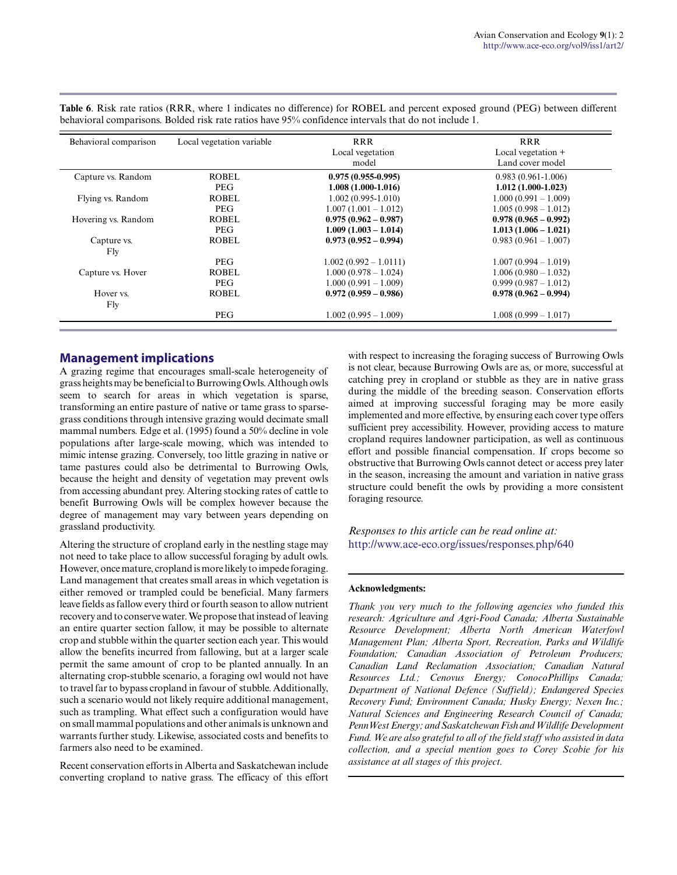| Behavioral comparison | Local vegetation variable | <b>RRR</b>              | <b>RRR</b>             |
|-----------------------|---------------------------|-------------------------|------------------------|
|                       |                           | Local vegetation        | Local vegetation $+$   |
|                       |                           | model                   | Land cover model       |
| Capture vs. Random    | ROBEL                     | $0.975(0.955-0.995)$    | $0.983(0.961-1.006)$   |
|                       | <b>PEG</b>                | $1.008(1.000-1.016)$    | $1.012(1.000-1.023)$   |
| Flying vs. Random     | <b>ROBEL</b>              | $1.002(0.995-1.010)$    | $1,000(0.991 - 1.009)$ |
|                       | <b>PEG</b>                | $1.007(1.001 - 1.012)$  | $1.005(0.998 - 1.012)$ |
| Hovering vs. Random   | ROBEL.                    | $0.975(0.962 - 0.987)$  | $0.978(0.965 - 0.992)$ |
|                       | <b>PEG</b>                | $1.009(1.003 - 1.014)$  | $1.013(1.006 - 1.021)$ |
| Capture vs.           | <b>ROBEL</b>              | $0.973(0.952 - 0.994)$  | $0.983(0.961 - 1.007)$ |
| Fly                   |                           |                         |                        |
|                       | <b>PEG</b>                | $1.002(0.992 - 1.0111)$ | $1.007(0.994 - 1.019)$ |
| Capture vs. Hover     | ROBEL                     | $1,000(0.978 - 1.024)$  | $1.006(0.980 - 1.032)$ |
|                       | <b>PEG</b>                | $1.000(0.991 - 1.009)$  | $0.999(0.987 - 1.012)$ |
| Hover <i>vs.</i>      | ROBEL                     | $0.972(0.959 - 0.986)$  | $0.978(0.962 - 0.994)$ |
| Fly                   |                           |                         |                        |
|                       | <b>PEG</b>                | $1.002(0.995 - 1.009)$  | $1.008(0.999 - 1.017)$ |

**Table 6**. Risk rate ratios (RRR, where 1 indicates no difference) for ROBEL and percent exposed ground (PEG) between different behavioral comparisons. Bolded risk rate ratios have 95% confidence intervals that do not include 1.

### **Management implications**

A grazing regime that encourages small-scale heterogeneity of grass heights may be beneficial to Burrowing Owls. Although owls seem to search for areas in which vegetation is sparse, transforming an entire pasture of native or tame grass to sparsegrass conditions through intensive grazing would decimate small mammal numbers. Edge et al. (1995) found a 50% decline in vole populations after large-scale mowing, which was intended to mimic intense grazing. Conversely, too little grazing in native or tame pastures could also be detrimental to Burrowing Owls, because the height and density of vegetation may prevent owls from accessing abundant prey. Altering stocking rates of cattle to benefit Burrowing Owls will be complex however because the degree of management may vary between years depending on grassland productivity.

Altering the structure of cropland early in the nestling stage may not need to take place to allow successful foraging by adult owls. However, once mature, cropland is more likely to impede foraging. Land management that creates small areas in which vegetation is either removed or trampled could be beneficial. Many farmers leave fields as fallow every third or fourth season to allow nutrient recovery and to conserve water. We propose that instead of leaving an entire quarter section fallow, it may be possible to alternate crop and stubble within the quarter section each year. This would allow the benefits incurred from fallowing, but at a larger scale permit the same amount of crop to be planted annually. In an alternating crop-stubble scenario, a foraging owl would not have to travel far to bypass cropland in favour of stubble. Additionally, such a scenario would not likely require additional management, such as trampling. What effect such a configuration would have on small mammal populations and other animals is unknown and warrants further study. Likewise, associated costs and benefits to farmers also need to be examined.

Recent conservation efforts in Alberta and Saskatchewan include converting cropland to native grass. The efficacy of this effort with respect to increasing the foraging success of Burrowing Owls is not clear, because Burrowing Owls are as, or more, successful at catching prey in cropland or stubble as they are in native grass during the middle of the breeding season. Conservation efforts aimed at improving successful foraging may be more easily implemented and more effective, by ensuring each cover type offers sufficient prey accessibility. However, providing access to mature cropland requires landowner participation, as well as continuous effort and possible financial compensation. If crops become so obstructive that Burrowing Owls cannot detect or access prey later in the season, increasing the amount and variation in native grass structure could benefit the owls by providing a more consistent foraging resource.

*Responses to this article can be read online at:* <http://www.ace-eco.org/issues/responses.php/640>

#### **Acknowledgments:**

*Thank you very much to the following agencies who funded this research: Agriculture and Agri-Food Canada; Alberta Sustainable Resource Development; Alberta North American Waterfowl Management Plan; Alberta Sport, Recreation, Parks and Wildlife Foundation; Canadian Association of Petroleum Producers; Canadian Land Reclamation Association; Canadian Natural Resources Ltd.; Cenovus Energy; ConocoPhillips Canada; Department of National Defence (Suffield); Endangered Species Recovery Fund; Environment Canada; Husky Energy; Nexen Inc.; Natural Sciences and Engineering Research Council of Canada; PennWest Energy; and Saskatchewan Fish and Wildlife Development Fund. We are also grateful to all of the field staff who assisted in data collection, and a special mention goes to Corey Scobie for his assistance at all stages of this project.*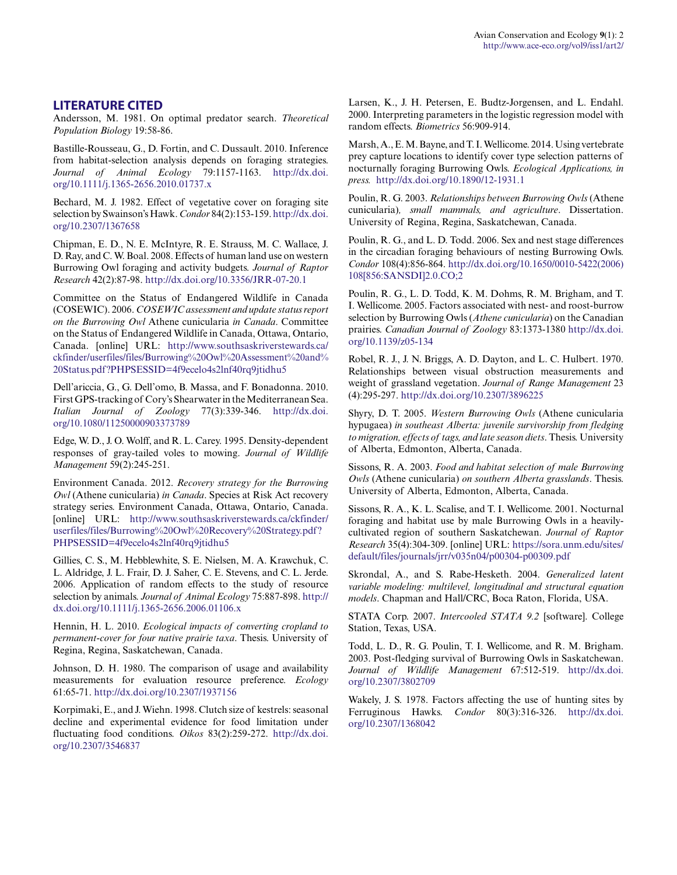### **LITERATURE CITED**

Andersson, M. 1981. On optimal predator search. *Theoretical Population Biology* 19:58-86.

Bastille-Rousseau, G., D. Fortin, and C. Dussault. 2010. Inference from habitat-selection analysis depends on foraging strategies. *Journal of Animal Ecology* 79:1157-1163. [http://dx.doi.](http://dx.doi.org/10.1111/j.1365-2656.2010.01737.x) [org/10.1111/j.1365-2656.2010.01737.x](http://dx.doi.org/10.1111/j.1365-2656.2010.01737.x)

Bechard, M. J. 1982. Effect of vegetative cover on foraging site selection by Swainson's Hawk. *Condor* 84(2):153-159. [http://dx.doi.](http://dx.doi.org/10.2307/1367658) [org/10.2307/1367658](http://dx.doi.org/10.2307/1367658)

Chipman, E. D., N. E. McIntyre, R. E. Strauss, M. C. Wallace, J. D. Ray, and C. W. Boal. 2008. Effects of human land use on western Burrowing Owl foraging and activity budgets. *Journal of Raptor Research* 42(2):87-98.<http://dx.doi.org/10.3356/JRR-07-20.1>

Committee on the Status of Endangered Wildlife in Canada (COSEWIC). 2006. *COSEWIC assessment and update status report on the Burrowing Owl* Athene cunicularia *in Canada*. Committee on the Status of Endangered Wildlife in Canada, Ottawa, Ontario, Canada. [online] URL: [http://www.southsaskriverstewards.ca/](http://www.southsaskriverstewards.ca/ckfinder/userfiles/files/Burrowing%20Owl%20Assessment%20and%20Status.pdf?PHPSESSID=4f9ecelo4s2lnf40rq9jtidhu5) [ckfinder/userfiles/files/Burrowing%20Owl%20Assessment%20and%](http://www.southsaskriverstewards.ca/ckfinder/userfiles/files/Burrowing%20Owl%20Assessment%20and%20Status.pdf?PHPSESSID=4f9ecelo4s2lnf40rq9jtidhu5) [20Status.pdf?PHPSESSID=4f9ecelo4s2lnf40rq9jtidhu5](http://www.southsaskriverstewards.ca/ckfinder/userfiles/files/Burrowing%20Owl%20Assessment%20and%20Status.pdf?PHPSESSID=4f9ecelo4s2lnf40rq9jtidhu5)

Dell'ariccia, G., G. Dell'omo, B. Massa, and F. Bonadonna. 2010. First GPS-tracking of Cory's Shearwater in the Mediterranean Sea. *Italian Journal of Zoology* 77(3):339-346. [http://dx.doi.](http://dx.doi.org/10.1080/11250000903373789) [org/10.1080/11250000903373789](http://dx.doi.org/10.1080/11250000903373789)

Edge, W. D., J. O. Wolff, and R. L. Carey. 1995. Density-dependent responses of gray-tailed voles to mowing. *Journal of Wildlife Management* 59(2):245-251.

Environment Canada. 2012. *Recovery strategy for the Burrowing Owl* (Athene cunicularia) *in Canada*. Species at Risk Act recovery strategy series. Environment Canada, Ottawa, Ontario, Canada. [online] URL: [http://www.southsaskriverstewards.ca/ckfinder/](http://www.southsaskriverstewards.ca/ckfinder/userfiles/files/Burrowing%20Owl%20Recovery%20Strategy.pdf?PHPSESSID=4f9ecelo4s2lnf40rq9jtidhu5) [userfiles/files/Burrowing%20Owl%20Recovery%20Strategy.pdf?](http://www.southsaskriverstewards.ca/ckfinder/userfiles/files/Burrowing%20Owl%20Recovery%20Strategy.pdf?PHPSESSID=4f9ecelo4s2lnf40rq9jtidhu5) [PHPSESSID=4f9ecelo4s2lnf40rq9jtidhu5](http://www.southsaskriverstewards.ca/ckfinder/userfiles/files/Burrowing%20Owl%20Recovery%20Strategy.pdf?PHPSESSID=4f9ecelo4s2lnf40rq9jtidhu5)

Gillies, C. S., M. Hebblewhite, S. E. Nielsen, M. A. Krawchuk, C. L. Aldridge, J. L. Frair, D. J. Saher, C. E. Stevens, and C. L. Jerde. 2006. Application of random effects to the study of resource selection by animals. *Journal of Animal Ecology* 75:887-898. [http://](http://dx.doi.org/10.1111/j.1365-2656.2006.01106.x) [dx.doi.org/10.1111/j.1365-2656.2006.01106.x](http://dx.doi.org/10.1111/j.1365-2656.2006.01106.x)

Hennin, H. L. 2010. *Ecological impacts of converting cropland to permanent-cover for four native prairie taxa*. Thesis. University of Regina, Regina, Saskatchewan, Canada.

Johnson, D. H. 1980. The comparison of usage and availability measurements for evaluation resource preference. *Ecology* 61:65-71.<http://dx.doi.org/10.2307/1937156>

Korpimaki, E., and J. Wiehn. 1998. Clutch size of kestrels: seasonal decline and experimental evidence for food limitation under fluctuating food conditions. *Oikos* 83(2):259-272. [http://dx.doi.](http://dx.doi.org/10.2307/3546837) [org/10.2307/3546837](http://dx.doi.org/10.2307/3546837)

Larsen, K., J. H. Petersen, E. Budtz-Jorgensen, and L. Endahl. 2000. Interpreting parameters in the logistic regression model with random effects. *Biometrics* 56:909-914.

Marsh, A., E. M. Bayne, and T. I. Wellicome. 2014. Using vertebrate prey capture locations to identify cover type selection patterns of nocturnally foraging Burrowing Owls. *Ecological Applications, in press.*<http://dx.doi.org/10.1890/12-1931.1>

Poulin, R. G. 2003. *Relationships between Burrowing Owls* (Athene cunicularia)*, small mammals, and agriculture*. Dissertation. University of Regina, Regina, Saskatchewan, Canada.

Poulin, R. G., and L. D. Todd. 2006. Sex and nest stage differences in the circadian foraging behaviours of nesting Burrowing Owls. *Condor* 108(4):856-864. [http://dx.doi.org/10.1650/0010-5422\(2006\)](http://dx.doi.org/10.1650/0010-5422(2006)108[856:SANSDI]2.0.CO;2) [108\[856:SANSDI\]2.0.CO;2](http://dx.doi.org/10.1650/0010-5422(2006)108[856:SANSDI]2.0.CO;2)

Poulin, R. G., L. D. Todd, K. M. Dohms, R. M. Brigham, and T. I. Wellicome. 2005. Factors associated with nest- and roost-burrow selection by Burrowing Owls (*Athene cunicularia*) on the Canadian prairies. *Canadian Journal of Zoology* 83:1373-1380 [http://dx.doi.](http://dx.doi.org/10.1139/z05-134) [org/10.1139/z05-134](http://dx.doi.org/10.1139/z05-134)

Robel, R. J., J. N. Briggs, A. D. Dayton, and L. C. Hulbert. 1970. Relationships between visual obstruction measurements and weight of grassland vegetation. *Journal of Range Management* 23 (4):295-297. <http://dx.doi.org/10.2307/3896225>

Shyry, D. T. 2005. *Western Burrowing Owls* (Athene cunicularia hypugaea) *in southeast Alberta: juvenile survivorship from fledging to migration, effects of tags, and late season diets*. Thesis. University of Alberta, Edmonton, Alberta, Canada.

Sissons, R. A. 2003. *Food and habitat selection of male Burrowing Owls* (Athene cunicularia) *on southern Alberta grasslands*. Thesis. University of Alberta, Edmonton, Alberta, Canada.

Sissons, R. A., K. L. Scalise, and T. I. Wellicome. 2001. Nocturnal foraging and habitat use by male Burrowing Owls in a heavilycultivated region of southern Saskatchewan. *Journal of Raptor Research* 35(4):304-309. [online] URL: [https://sora.unm.edu/sites/](https://sora.unm.edu/sites/default/files/journals/jrr/v035n04/p00304-p00309.pdf) [default/files/journals/jrr/v035n04/p00304-p00309.pdf](https://sora.unm.edu/sites/default/files/journals/jrr/v035n04/p00304-p00309.pdf)

Skrondal, A., and S. Rabe-Hesketh. 2004. *Generalized latent variable modeling: multilevel, longitudinal and structural equation models*. Chapman and Hall/CRC, Boca Raton, Florida, USA.

STATA Corp. 2007. *Intercooled STATA 9.2* [software]. College Station, Texas, USA.

Todd, L. D., R. G. Poulin, T. I. Wellicome, and R. M. Brigham. 2003. Post-fledging survival of Burrowing Owls in Saskatchewan. *Journal of Wildlife Management* 67:512-519. [http://dx.doi.](http://dx.doi.org/10.2307/3802709) [org/10.2307/3802709](http://dx.doi.org/10.2307/3802709)

Wakely, J. S. 1978. Factors affecting the use of hunting sites by Ferruginous Hawks. *Condor* 80(3):316-326. [http://dx.doi.](http://dx.doi.org/10.2307/1368042) [org/10.2307/1368042](http://dx.doi.org/10.2307/1368042)